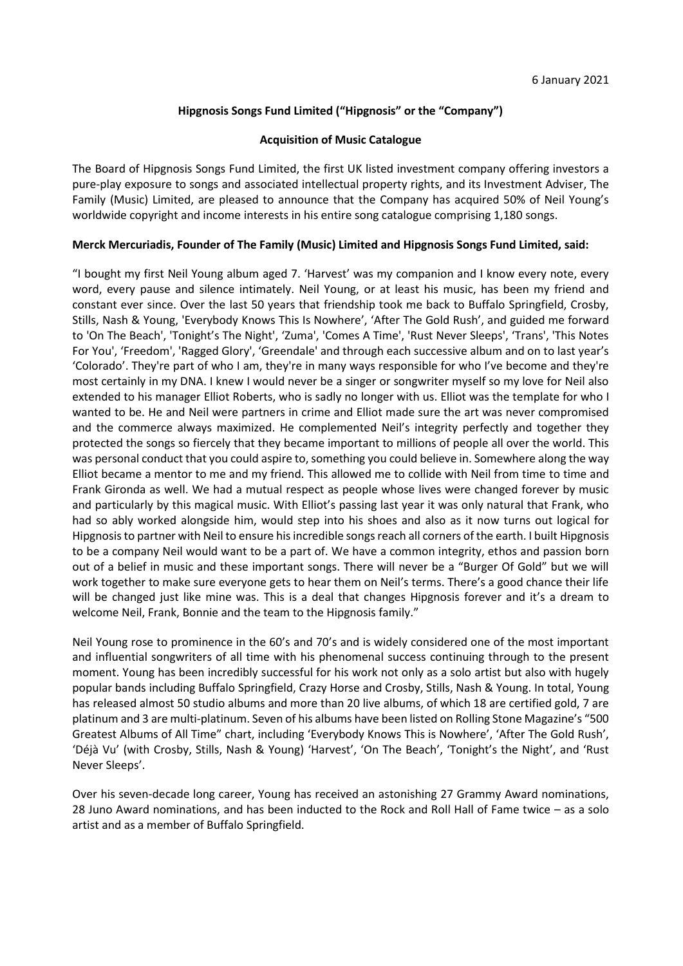# **Hipgnosis Songs Fund Limited ("Hipgnosis" or the "Company")**

#### **Acquisition of Music Catalogue**

The Board of Hipgnosis Songs Fund Limited, the first UK listed investment company offering investors a pure-play exposure to songs and associated intellectual property rights, and its Investment Adviser, The Family (Music) Limited, are pleased to announce that the Company has acquired 50% of Neil Young's worldwide copyright and income interests in his entire song catalogue comprising 1,180 songs.

#### **Merck Mercuriadis, Founder of The Family (Music) Limited and Hipgnosis Songs Fund Limited, said:**

"I bought my first Neil Young album aged 7. 'Harvest' was my companion and I know every note, every word, every pause and silence intimately. Neil Young, or at least his music, has been my friend and constant ever since. Over the last 50 years that friendship took me back to Buffalo Springfield, Crosby, Stills, Nash & Young, 'Everybody Knows This Is Nowhere', 'After The Gold Rush', and guided me forward to 'On The Beach', 'Tonight's The Night', 'Zuma', 'Comes A Time', 'Rust Never Sleeps', 'Trans', 'This Notes For You', 'Freedom', 'Ragged Glory', 'Greendale' and through each successive album and on to last year's 'Colorado'. They're part of who I am, they're in many ways responsible for who I've become and they're most certainly in my DNA. I knew I would never be a singer or songwriter myself so my love for Neil also extended to his manager Elliot Roberts, who is sadly no longer with us. Elliot was the template for who I wanted to be. He and Neil were partners in crime and Elliot made sure the art was never compromised and the commerce always maximized. He complemented Neil's integrity perfectly and together they protected the songs so fiercely that they became important to millions of people all over the world. This was personal conduct that you could aspire to, something you could believe in. Somewhere along the way Elliot became a mentor to me and my friend. This allowed me to collide with Neil from time to time and Frank Gironda as well. We had a mutual respect as people whose lives were changed forever by music and particularly by this magical music. With Elliot's passing last year it was only natural that Frank, who had so ably worked alongside him, would step into his shoes and also as it now turns out logical for Hipgnosis to partner with Neil to ensure his incredible songs reach all corners of the earth. I built Hipgnosis to be a company Neil would want to be a part of. We have a common integrity, ethos and passion born out of a belief in music and these important songs. There will never be a "Burger Of Gold" but we will work together to make sure everyone gets to hear them on Neil's terms. There's a good chance their life will be changed just like mine was. This is a deal that changes Hipgnosis forever and it's a dream to welcome Neil, Frank, Bonnie and the team to the Hipgnosis family."

Neil Young rose to prominence in the 60's and 70's and is widely considered one of the most important and influential songwriters of all time with his phenomenal success continuing through to the present moment. Young has been incredibly successful for his work not only as a solo artist but also with hugely popular bands including Buffalo Springfield, Crazy Horse and Crosby, Stills, Nash & Young. In total, Young has released almost 50 studio albums and more than 20 live albums, of which 18 are certified gold, 7 are platinum and 3 are multi-platinum. Seven of his albums have been listed on Rolling Stone Magazine's "500 Greatest Albums of All Time" chart, including 'Everybody Knows This is Nowhere', 'After The Gold Rush', 'Déjà Vu' (with Crosby, Stills, Nash & Young) 'Harvest', 'On The Beach', 'Tonight's the Night', and 'Rust Never Sleeps'.

Over his seven-decade long career, Young has received an astonishing 27 Grammy Award nominations, 28 Juno Award nominations, and has been inducted to the Rock and Roll Hall of Fame twice – as a solo artist and as a member of Buffalo Springfield.